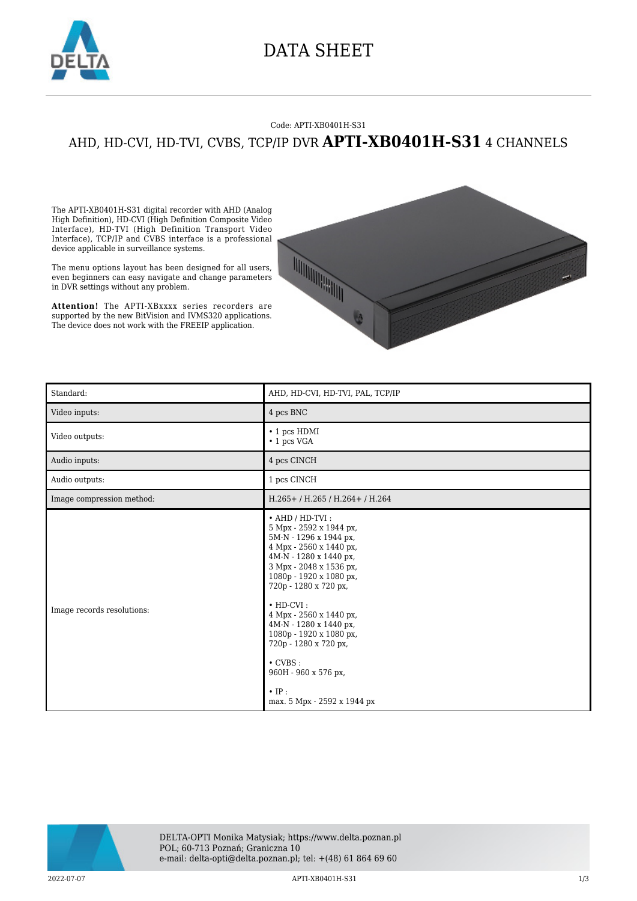

### DATA SHEET

#### Code: APTI-XB0401H-S31

### AHD, HD-CVI, HD-TVI, CVBS, TCP/IP DVR **APTI-XB0401H-S31** 4 CHANNELS

The APTI-XB0401H-S31 digital recorder with AHD (Analog High Definition), HD-CVI (High Definition Composite Video Interface), HD-TVI (High Definition Transport Video Interface), TCP/IP and CVBS interface is a professional device applicable in surveillance systems.

The menu options layout has been designed for all users, even beginners can easy navigate and change parameters in DVR settings without any problem.

**Attention!** The APTI-XBxxxx series recorders are supported by the new BitVision and IVMS320 applications. The device does not work with the FREEIP application.



| Standard:                  | AHD, HD-CVI, HD-TVI, PAL, TCP/IP                                                                                                                                                                                                                                                                                                                                                                                                   |
|----------------------------|------------------------------------------------------------------------------------------------------------------------------------------------------------------------------------------------------------------------------------------------------------------------------------------------------------------------------------------------------------------------------------------------------------------------------------|
| Video inputs:              | 4 pcs BNC                                                                                                                                                                                                                                                                                                                                                                                                                          |
| Video outputs:             | • 1 pcs HDMI<br>• 1 pcs VGA                                                                                                                                                                                                                                                                                                                                                                                                        |
| Audio inputs:              | 4 pcs CINCH                                                                                                                                                                                                                                                                                                                                                                                                                        |
| Audio outputs:             | 1 pcs CINCH                                                                                                                                                                                                                                                                                                                                                                                                                        |
| Image compression method:  | H.265+/H.265/H.264+/H.264                                                                                                                                                                                                                                                                                                                                                                                                          |
| Image records resolutions: | $\cdot$ AHD / HD-TVI:<br>5 Mpx - 2592 x 1944 px,<br>5M-N - 1296 x 1944 px,<br>4 Mpx - 2560 x 1440 px,<br>4M-N - 1280 x 1440 px,<br>3 Mpx - 2048 x 1536 px,<br>1080p - 1920 x 1080 px,<br>720p - 1280 x 720 px,<br>$\cdot$ HD-CVI:<br>4 Mpx - 2560 x 1440 px,<br>4M-N - 1280 x 1440 px,<br>1080p - 1920 x 1080 px,<br>720p - 1280 x 720 px,<br>$\cdot$ CVBS :<br>960Н - 960 х 576 рх,<br>$\cdot$ IP:<br>max. 5 Mpx - 2592 x 1944 px |



2022-07-07 APTI-XB0401H-S31 1/3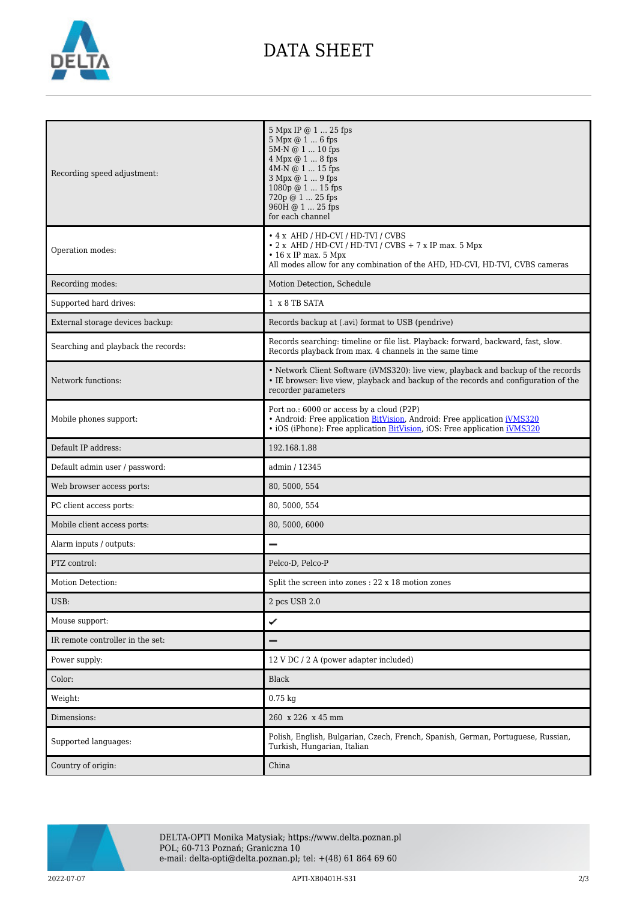

# DATA SHEET

| Recording speed adjustment:         | 5 Mpx IP @ 1  25 fps<br>5 Mpx @ 1  6 fps<br>5M-N @ 1  10 fps<br>4 Mpx @ 1  8 fps<br>4M-N @ 1  15 fps<br>3 Mpx @ 1  9 fps<br>1080p @ 1  15 fps<br>720p @ 1  25 fps<br>960H @ 1  25 fps<br>for each channel        |
|-------------------------------------|------------------------------------------------------------------------------------------------------------------------------------------------------------------------------------------------------------------|
| Operation modes:                    | • 4 x AHD / HD-CVI / HD-TVI / CVBS<br>$\cdot$ 2 x AHD / HD-CVI / HD-TVI / CVBS + 7 x IP max. 5 Mpx<br>$\cdot$ 16 x IP max. 5 Mpx<br>All modes allow for any combination of the AHD, HD-CVI, HD-TVI, CVBS cameras |
| Recording modes:                    | Motion Detection, Schedule                                                                                                                                                                                       |
| Supported hard drives:              | 1 x 8 TB SATA                                                                                                                                                                                                    |
| External storage devices backup:    | Records backup at (.avi) format to USB (pendrive)                                                                                                                                                                |
| Searching and playback the records: | Records searching: timeline or file list. Playback: forward, backward, fast, slow.<br>Records playback from max. 4 channels in the same time                                                                     |
| Network functions:                  | • Network Client Software (iVMS320): live view, playback and backup of the records<br>• IE browser: live view, playback and backup of the records and configuration of the<br>recorder parameters                |
| Mobile phones support:              | Port no.: 6000 or access by a cloud (P2P)<br>• Android: Free application BitVision, Android: Free application iVMS320<br>• iOS (iPhone): Free application BitVision, iOS: Free application iVMS320               |
| Default IP address:                 | 192.168.1.88                                                                                                                                                                                                     |
| Default admin user / password:      | admin / 12345                                                                                                                                                                                                    |
| Web browser access ports:           | 80, 5000, 554                                                                                                                                                                                                    |
| PC client access ports:             | 80, 5000, 554                                                                                                                                                                                                    |
| Mobile client access ports:         | 80, 5000, 6000                                                                                                                                                                                                   |
| Alarm inputs / outputs:             |                                                                                                                                                                                                                  |
| PTZ control:                        | Pelco-D, Pelco-P                                                                                                                                                                                                 |
| Motion Detection:                   | Split the screen into zones : 22 x 18 motion zones                                                                                                                                                               |
| USB:                                | 2 pcs USB 2.0                                                                                                                                                                                                    |
| Mouse support:                      | ✓                                                                                                                                                                                                                |
| IR remote controller in the set:    |                                                                                                                                                                                                                  |
| Power supply:                       | 12 V DC / 2 A (power adapter included)                                                                                                                                                                           |
| Color:                              | Black                                                                                                                                                                                                            |
| Weight:                             | $0.75$ kg                                                                                                                                                                                                        |
| Dimensions:                         | 260 x 226 x 45 mm                                                                                                                                                                                                |
| Supported languages:                | Polish, English, Bulgarian, Czech, French, Spanish, German, Portuguese, Russian,<br>Turkish, Hungarian, Italian                                                                                                  |
| Country of origin:                  | China                                                                                                                                                                                                            |